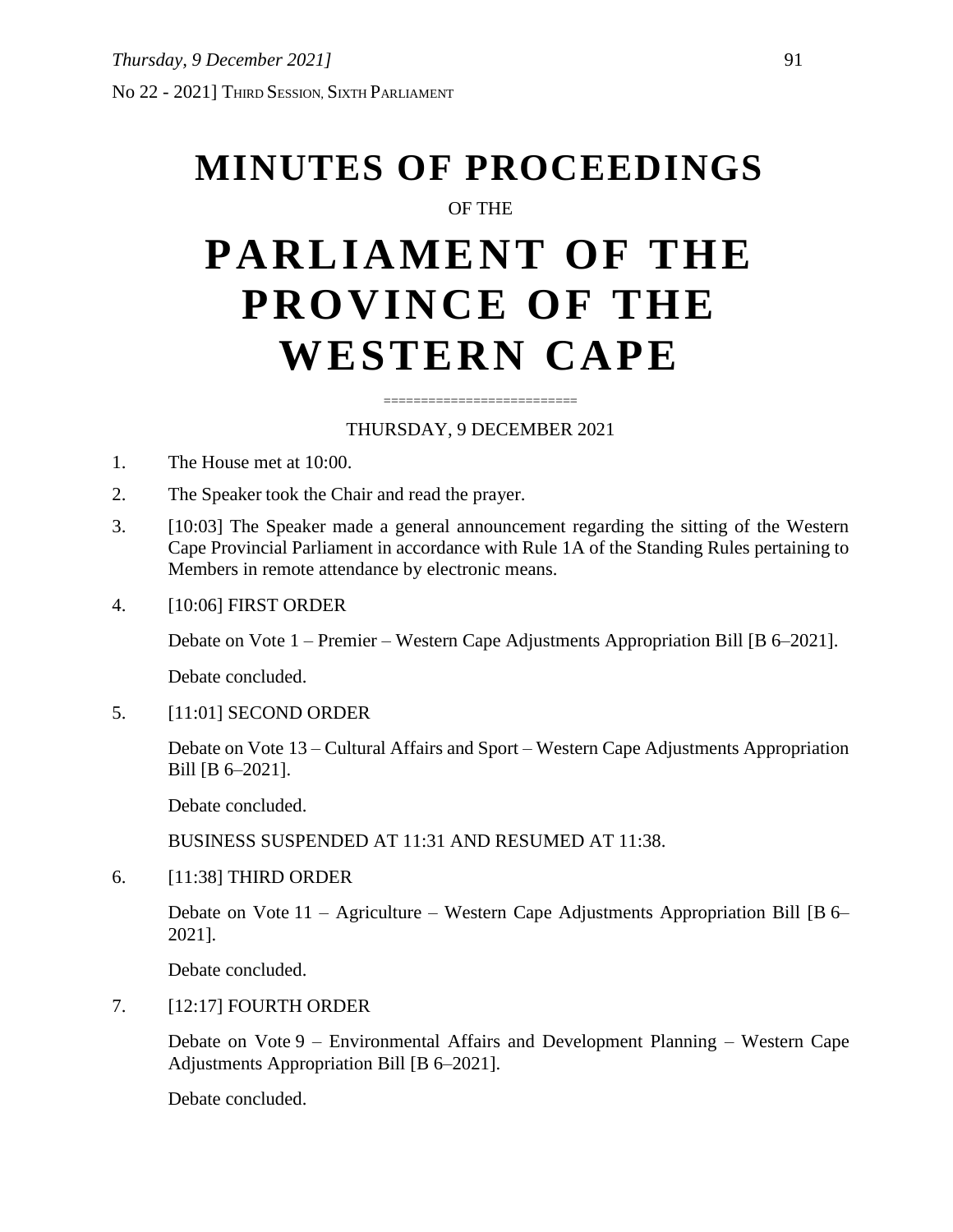# **MINUTES OF PROCEEDINGS**

## OF THE

# **PARLIAMENT OF THE PROVINCE OF THE WESTERN CAPE**

### ========================== THURSDAY, 9 DECEMBER 2021

- 1. The House met at 10:00.
- 2. The Speaker took the Chair and read the prayer.
- 3. [10:03] The Speaker made a general announcement regarding the sitting of the Western Cape Provincial Parliament in accordance with Rule 1A of the Standing Rules pertaining to Members in remote attendance by electronic means.
- 4. [10:06] FIRST ORDER

Debate on Vote 1 – Premier – Western Cape Adjustments Appropriation Bill [B 6–2021].

Debate concluded.

5. [11:01] SECOND ORDER

Debate on Vote 13 – Cultural Affairs and Sport – Western Cape Adjustments Appropriation Bill [B 6–2021].

Debate concluded.

BUSINESS SUSPENDED AT 11:31 AND RESUMED AT 11:38.

6. [11:38] THIRD ORDER

Debate on Vote 11 – Agriculture – Western Cape Adjustments Appropriation Bill [B 6– 2021].

Debate concluded.

7. [12:17] FOURTH ORDER

Debate on Vote 9 – Environmental Affairs and Development Planning – Western Cape Adjustments Appropriation Bill [B 6–2021].

Debate concluded.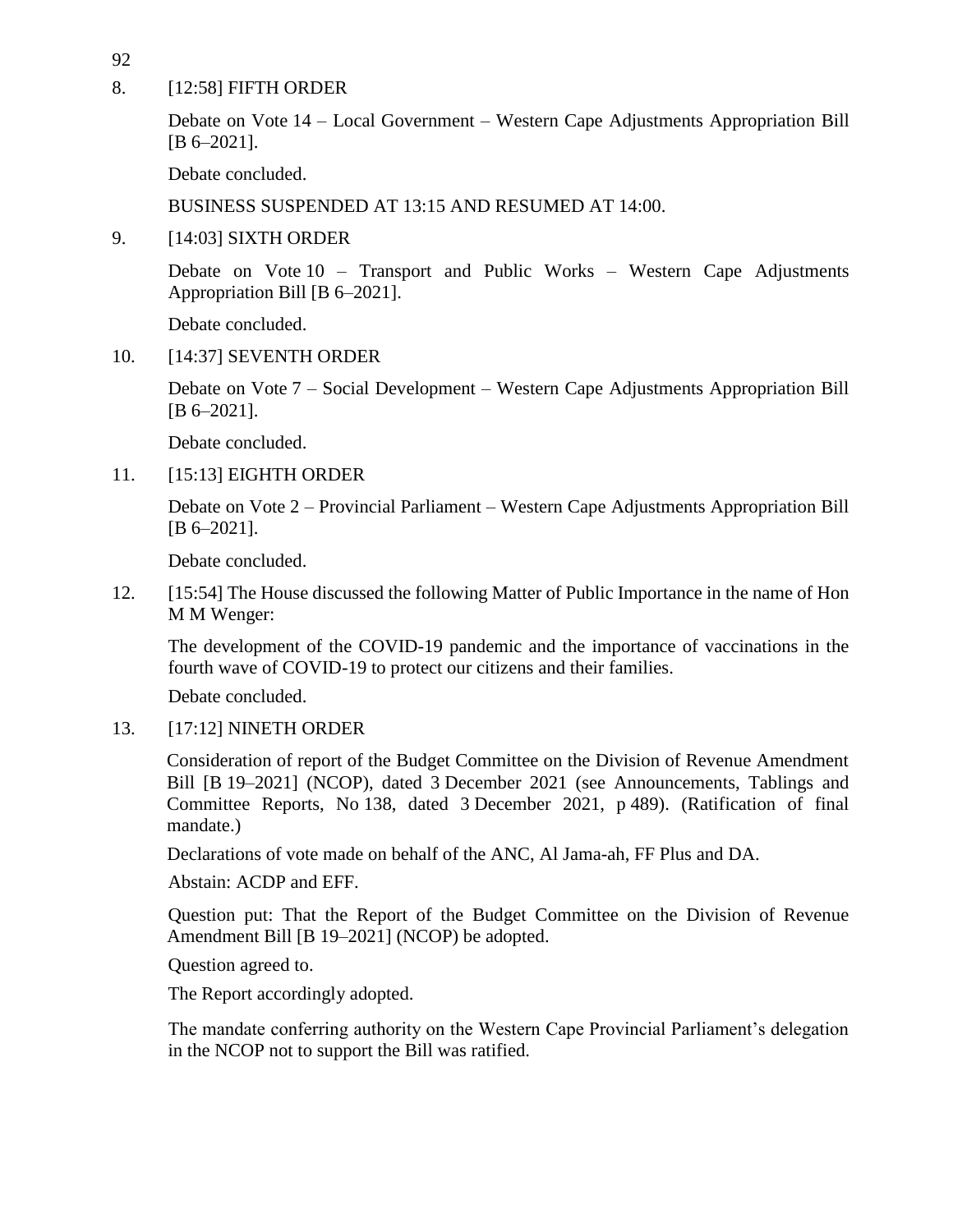92

8. [12:58] FIFTH ORDER

Debate on Vote 14 – Local Government – Western Cape Adjustments Appropriation Bill [B 6–2021].

Debate concluded.

BUSINESS SUSPENDED AT 13:15 AND RESUMED AT 14:00.

9. [14:03] SIXTH ORDER

Debate on Vote 10 – Transport and Public Works – Western Cape Adjustments Appropriation Bill [B 6–2021].

Debate concluded.

10. [14:37] SEVENTH ORDER

Debate on Vote 7 – Social Development – Western Cape Adjustments Appropriation Bill [B 6–2021].

Debate concluded.

11. [15:13] EIGHTH ORDER

Debate on Vote 2 – Provincial Parliament – Western Cape Adjustments Appropriation Bill [B 6–2021].

Debate concluded.

12. [15:54] The House discussed the following Matter of Public Importance in the name of Hon M M Wenger:

The development of the COVID-19 pandemic and the importance of vaccinations in the fourth wave of COVID-19 to protect our citizens and their families.

Debate concluded.

13. [17:12] NINETH ORDER

Consideration of report of the Budget Committee on the Division of Revenue Amendment Bill [B 19–2021] (NCOP), dated 3 December 2021 (see Announcements, Tablings and Committee Reports, No 138, dated 3 December 2021, p 489). (Ratification of final mandate.)

Declarations of vote made on behalf of the ANC, Al Jama-ah, FF Plus and DA.

Abstain: ACDP and EFF.

Question put: That the Report of the Budget Committee on the Division of Revenue Amendment Bill [B 19–2021] (NCOP) be adopted.

Question agreed to.

The Report accordingly adopted.

The mandate conferring authority on the Western Cape Provincial Parliament's delegation in the NCOP not to support the Bill was ratified.